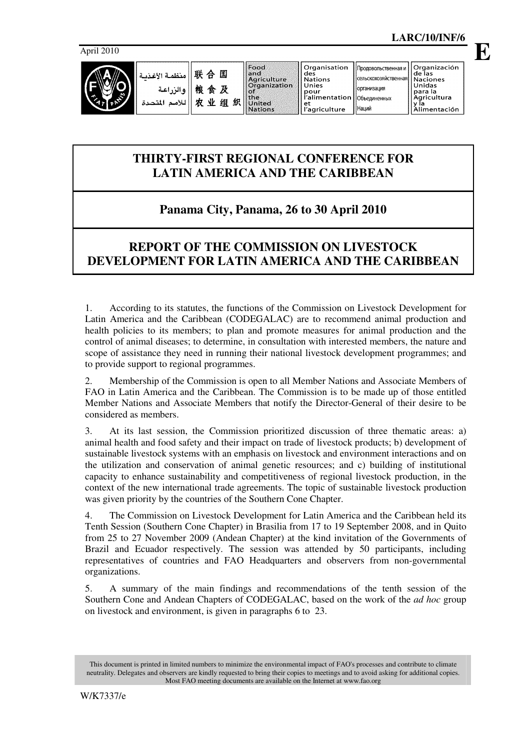

| 联 合 国    منظمـة الأغـذبـة                        | <b>IS MORE STORES</b><br>and<br>Agriculture                                 | Organisation<br>des<br><b>Nations</b>                                 | родовольственная и    Urganizacion<br><b>«Гельскохозяйственная   Naciones</b> | l de las                                             |
|--------------------------------------------------|-----------------------------------------------------------------------------|-----------------------------------------------------------------------|-------------------------------------------------------------------------------|------------------------------------------------------|
| 粮食及<br>والزراعة<br>灾<br>业<br>细<br>اللأمم المتحدة | <b>Organization</b><br>. of<br><b>Ithe</b><br>织<br>United<br><b>Nations</b> | Unies<br>pour<br>l'alimentation   Объединенных<br>еt<br>l'agriculture | Порганизация<br><b>Наций</b>                                                  | Unidas<br>l para la<br>  Agricultura<br>Alimentación |

### **THIRTY-FIRST REGIONAL CONFERENCE FOR LATIN AMERICA AND THE CARIBBEAN**

# **Panama City, Panama, 26 to 30 April 2010**

## **REPORT OF THE COMMISSION ON LIVESTOCK DEVELOPMENT FOR LATIN AMERICA AND THE CARIBBEAN**

1. According to its statutes, the functions of the Commission on Livestock Development for Latin America and the Caribbean (CODEGALAC) are to recommend animal production and health policies to its members; to plan and promote measures for animal production and the control of animal diseases; to determine, in consultation with interested members, the nature and scope of assistance they need in running their national livestock development programmes; and to provide support to regional programmes.

2. Membership of the Commission is open to all Member Nations and Associate Members of FAO in Latin America and the Caribbean. The Commission is to be made up of those entitled Member Nations and Associate Members that notify the Director-General of their desire to be considered as members.

3. At its last session, the Commission prioritized discussion of three thematic areas: a) animal health and food safety and their impact on trade of livestock products; b) development of sustainable livestock systems with an emphasis on livestock and environment interactions and on the utilization and conservation of animal genetic resources; and c) building of institutional capacity to enhance sustainability and competitiveness of regional livestock production, in the context of the new international trade agreements. The topic of sustainable livestock production was given priority by the countries of the Southern Cone Chapter.

4. The Commission on Livestock Development for Latin America and the Caribbean held its Tenth Session (Southern Cone Chapter) in Brasilia from 17 to 19 September 2008, and in Quito from 25 to 27 November 2009 (Andean Chapter) at the kind invitation of the Governments of Brazil and Ecuador respectively. The session was attended by 50 participants, including representatives of countries and FAO Headquarters and observers from non-governmental organizations.

5. A summary of the main findings and recommendations of the tenth session of the Southern Cone and Andean Chapters of CODEGALAC, based on the work of the *ad hoc* group on livestock and environment, is given in paragraphs 6 to 23.

This document is printed in limited numbers to minimize the environmental impact of FAO's processes and contribute to climate neutrality. Delegates and observers are kindly requested to bring their copies to meetings and to avoid asking for additional copies. Most FAO meeting documents are available on the Internet at www.fao.org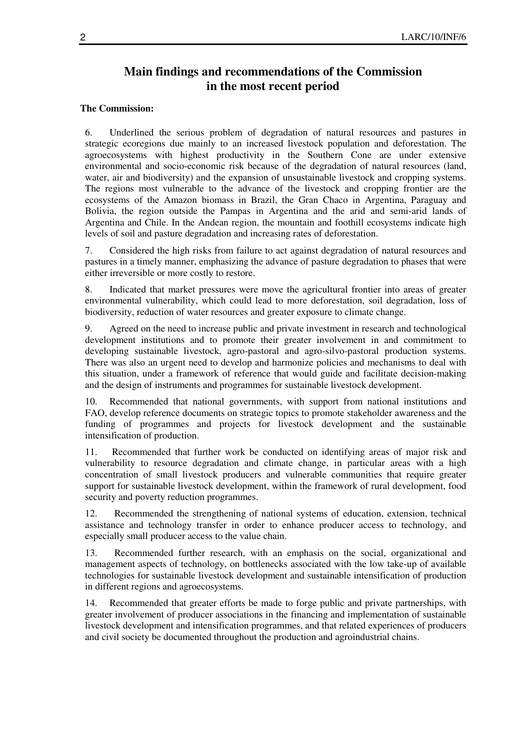#### **Main findings and recommendations of the Commission in the most recent period**

#### **The Commission:**

6. Underlined the serious problem of degradation of natural resources and pastures in strategic ecoregions due mainly to an increased livestock population and deforestation. The agroecosystems with highest productivity in the Southern Cone are under extensive environmental and socio-economic risk because of the degradation of natural resources (land, water, air and biodiversity) and the expansion of unsustainable livestock and cropping systems. The regions most vulnerable to the advance of the livestock and cropping frontier are the ecosystems of the Amazon biomass in Brazil, the Gran Chaco in Argentina, Paraguay and Bolivia, the region outside the Pampas in Argentina and the arid and semi-arid lands of Argentina and Chile. In the Andean region, the mountain and foothill ecosystems indicate high levels of soil and pasture degradation and increasing rates of deforestation.

7. Considered the high risks from failure to act against degradation of natural resources and pastures in a timely manner, emphasizing the advance of pasture degradation to phases that were either irreversible or more costly to restore.

8. Indicated that market pressures were move the agricultural frontier into areas of greater environmental vulnerability, which could lead to more deforestation, soil degradation, loss of biodiversity, reduction of water resources and greater exposure to climate change.

9. Agreed on the need to increase public and private investment in research and technological development institutions and to promote their greater involvement in and commitment to developing sustainable livestock, agro-pastoral and agro-silvo-pastoral production systems. There was also an urgent need to develop and harmonize policies and mechanisms to deal with this situation, under a framework of reference that would guide and facilitate decision-making and the design of instruments and programmes for sustainable livestock development.

10. Recommended that national governments, with support from national institutions and FAO, develop reference documents on strategic topics to promote stakeholder awareness and the funding of programmes and projects for livestock development and the sustainable intensification of production.

11. Recommended that further work be conducted on identifying areas of major risk and vulnerability to resource degradation and climate change, in particular areas with a high concentration of small livestock producers and vulnerable communities that require greater support for sustainable livestock development, within the framework of rural development, food security and poverty reduction programmes.

12. Recommended the strengthening of national systems of education, extension, technical assistance and technology transfer in order to enhance producer access to technology, and especially small producer access to the value chain.

13. Recommended further research, with an emphasis on the social, organizational and management aspects of technology, on bottlenecks associated with the low take-up of available technologies for sustainable livestock development and sustainable intensification of production in different regions and agroecosystems.

14. Recommended that greater efforts be made to forge public and private partnerships, with greater involvement of producer associations in the financing and implementation of sustainable livestock development and intensification programmes, and that related experiences of producers and civil society be documented throughout the production and agroindustrial chains.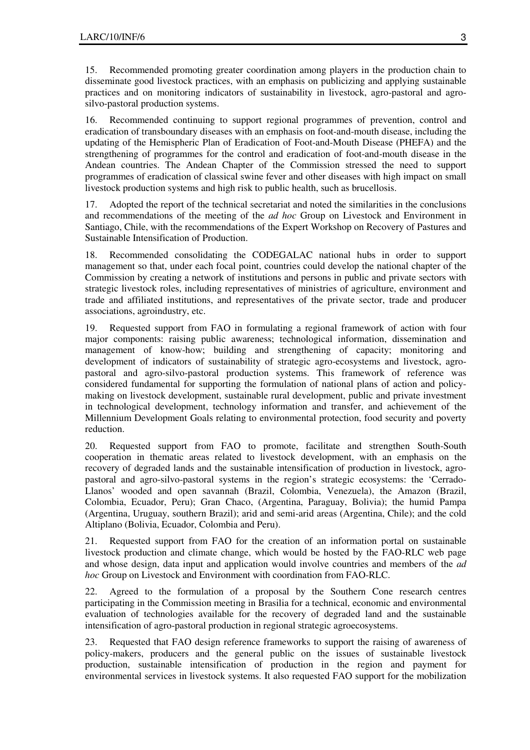15. Recommended promoting greater coordination among players in the production chain to disseminate good livestock practices, with an emphasis on publicizing and applying sustainable practices and on monitoring indicators of sustainability in livestock, agro-pastoral and agrosilvo-pastoral production systems.

16. Recommended continuing to support regional programmes of prevention, control and eradication of transboundary diseases with an emphasis on foot-and-mouth disease, including the updating of the Hemispheric Plan of Eradication of Foot-and-Mouth Disease (PHEFA) and the strengthening of programmes for the control and eradication of foot-and-mouth disease in the Andean countries. The Andean Chapter of the Commission stressed the need to support programmes of eradication of classical swine fever and other diseases with high impact on small livestock production systems and high risk to public health, such as brucellosis.

17. Adopted the report of the technical secretariat and noted the similarities in the conclusions and recommendations of the meeting of the *ad hoc* Group on Livestock and Environment in Santiago, Chile, with the recommendations of the Expert Workshop on Recovery of Pastures and Sustainable Intensification of Production.

18. Recommended consolidating the CODEGALAC national hubs in order to support management so that, under each focal point, countries could develop the national chapter of the Commission by creating a network of institutions and persons in public and private sectors with strategic livestock roles, including representatives of ministries of agriculture, environment and trade and affiliated institutions, and representatives of the private sector, trade and producer associations, agroindustry, etc.

19. Requested support from FAO in formulating a regional framework of action with four major components: raising public awareness; technological information, dissemination and management of know-how; building and strengthening of capacity; monitoring and development of indicators of sustainability of strategic agro-ecosystems and livestock, agropastoral and agro-silvo-pastoral production systems. This framework of reference was considered fundamental for supporting the formulation of national plans of action and policymaking on livestock development, sustainable rural development, public and private investment in technological development, technology information and transfer, and achievement of the Millennium Development Goals relating to environmental protection, food security and poverty reduction.

20. Requested support from FAO to promote, facilitate and strengthen South-South cooperation in thematic areas related to livestock development, with an emphasis on the recovery of degraded lands and the sustainable intensification of production in livestock, agropastoral and agro-silvo-pastoral systems in the region's strategic ecosystems: the 'Cerrado-Llanos' wooded and open savannah (Brazil, Colombia, Venezuela), the Amazon (Brazil, Colombia, Ecuador, Peru); Gran Chaco, (Argentina, Paraguay, Bolivia); the humid Pampa (Argentina, Uruguay, southern Brazil); arid and semi-arid areas (Argentina, Chile); and the cold Altiplano (Bolivia, Ecuador, Colombia and Peru).

21. Requested support from FAO for the creation of an information portal on sustainable livestock production and climate change, which would be hosted by the FAO-RLC web page and whose design, data input and application would involve countries and members of the *ad hoc* Group on Livestock and Environment with coordination from FAO-RLC.

22. Agreed to the formulation of a proposal by the Southern Cone research centres participating in the Commission meeting in Brasilia for a technical, economic and environmental evaluation of technologies available for the recovery of degraded land and the sustainable intensification of agro-pastoral production in regional strategic agroecosystems.

23. Requested that FAO design reference frameworks to support the raising of awareness of policy-makers, producers and the general public on the issues of sustainable livestock production, sustainable intensification of production in the region and payment for environmental services in livestock systems. It also requested FAO support for the mobilization